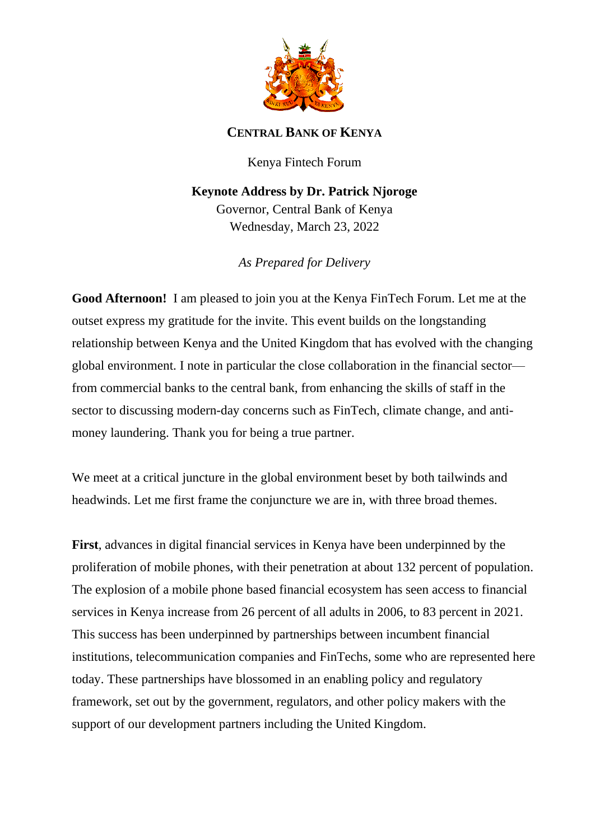

## **CENTRAL BANK OF KENYA**

Kenya Fintech Forum

**Keynote Address by Dr. Patrick Njoroge** Governor, Central Bank of Kenya Wednesday, March 23, 2022

*As Prepared for Delivery*

**Good Afternoon!** I am pleased to join you at the Kenya FinTech Forum. Let me at the outset express my gratitude for the invite. This event builds on the longstanding relationship between Kenya and the United Kingdom that has evolved with the changing global environment. I note in particular the close collaboration in the financial sector from commercial banks to the central bank, from enhancing the skills of staff in the sector to discussing modern-day concerns such as FinTech, climate change, and antimoney laundering. Thank you for being a true partner.

We meet at a critical juncture in the global environment beset by both tailwinds and headwinds. Let me first frame the conjuncture we are in, with three broad themes.

**First**, advances in digital financial services in Kenya have been underpinned by the proliferation of mobile phones, with their penetration at about 132 percent of population. The explosion of a mobile phone based financial ecosystem has seen access to financial services in Kenya increase from 26 percent of all adults in 2006, to 83 percent in 2021. This success has been underpinned by partnerships between incumbent financial institutions, telecommunication companies and FinTechs, some who are represented here today. These partnerships have blossomed in an enabling policy and regulatory framework, set out by the government, regulators, and other policy makers with the support of our development partners including the United Kingdom.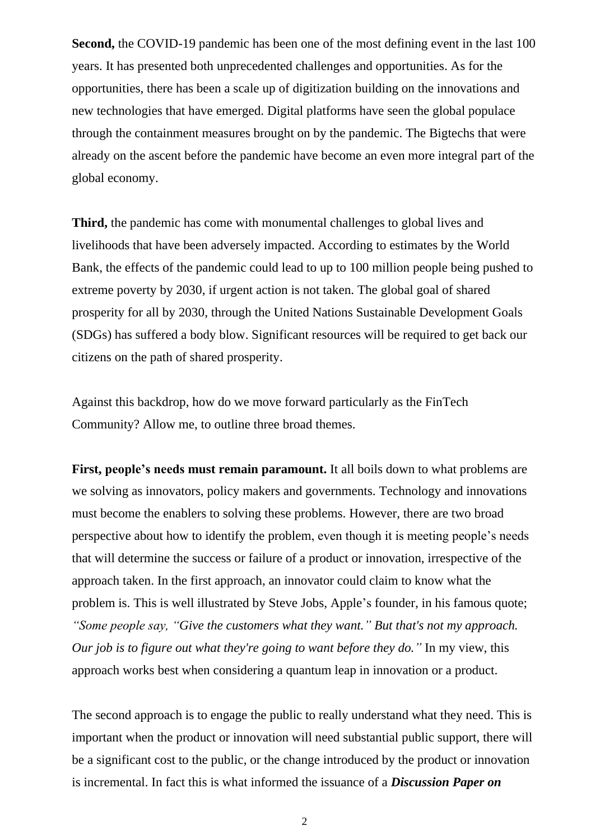**Second,** the COVID-19 pandemic has been one of the most defining event in the last 100 years. It has presented both unprecedented challenges and opportunities. As for the opportunities, there has been a scale up of digitization building on the innovations and new technologies that have emerged. Digital platforms have seen the global populace through the containment measures brought on by the pandemic. The Bigtechs that were already on the ascent before the pandemic have become an even more integral part of the global economy.

**Third,** the pandemic has come with monumental challenges to global lives and livelihoods that have been adversely impacted. According to estimates by the World Bank, the effects of the pandemic could lead to up to 100 million people being pushed to extreme poverty by 2030, if urgent action is not taken. The global goal of shared prosperity for all by 2030, through the United Nations Sustainable Development Goals (SDGs) has suffered a body blow. Significant resources will be required to get back our citizens on the path of shared prosperity.

Against this backdrop, how do we move forward particularly as the FinTech Community? Allow me, to outline three broad themes.

**First, people's needs must remain paramount.** It all boils down to what problems are we solving as innovators, policy makers and governments. Technology and innovations must become the enablers to solving these problems. However, there are two broad perspective about how to identify the problem, even though it is meeting people's needs that will determine the success or failure of a product or innovation, irrespective of the approach taken. In the first approach, an innovator could claim to know what the problem is. This is well illustrated by Steve Jobs, Apple's founder, in his famous quote; *"Some people say, "Give the customers what they want." But that's not my approach. Our job is to figure out what they're going to want before they do."* In my view, this approach works best when considering a quantum leap in innovation or a product.

The second approach is to engage the public to really understand what they need. This is important when the product or innovation will need substantial public support, there will be a significant cost to the public, or the change introduced by the product or innovation is incremental. In fact this is what informed the issuance of a *Discussion Paper on*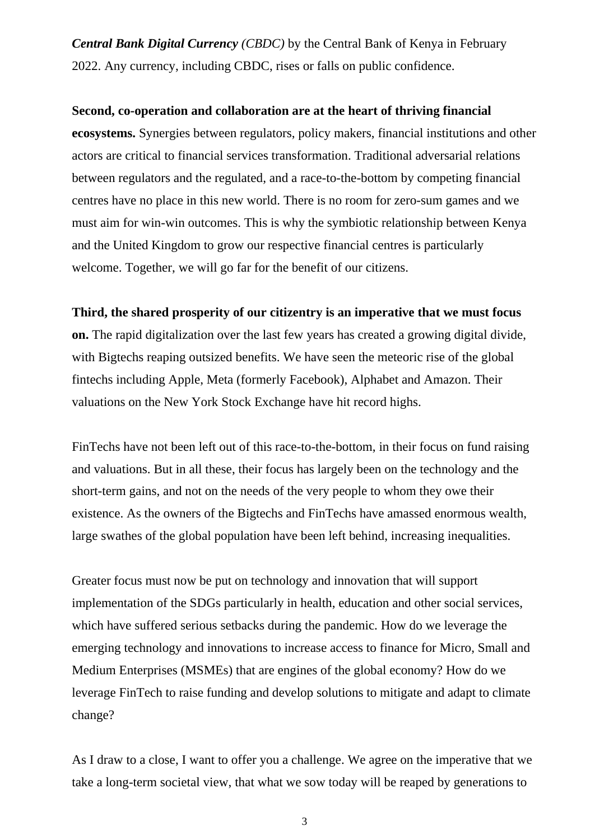*Central Bank Digital Currency (CBDC)* by the Central Bank of Kenya in February 2022. Any currency, including CBDC, rises or falls on public confidence.

## **Second, co-operation and collaboration are at the heart of thriving financial**

**ecosystems.** Synergies between regulators, policy makers, financial institutions and other actors are critical to financial services transformation. Traditional adversarial relations between regulators and the regulated, and a race-to-the-bottom by competing financial centres have no place in this new world. There is no room for zero-sum games and we must aim for win-win outcomes. This is why the symbiotic relationship between Kenya and the United Kingdom to grow our respective financial centres is particularly welcome. Together, we will go far for the benefit of our citizens.

## **Third, the shared prosperity of our citizentry is an imperative that we must focus**

**on.** The rapid digitalization over the last few years has created a growing digital divide, with Bigtechs reaping outsized benefits. We have seen the meteoric rise of the global fintechs including Apple, Meta (formerly Facebook), Alphabet and Amazon. Their valuations on the New York Stock Exchange have hit record highs.

FinTechs have not been left out of this race-to-the-bottom, in their focus on fund raising and valuations. But in all these, their focus has largely been on the technology and the short-term gains, and not on the needs of the very people to whom they owe their existence. As the owners of the Bigtechs and FinTechs have amassed enormous wealth, large swathes of the global population have been left behind, increasing inequalities.

Greater focus must now be put on technology and innovation that will support implementation of the SDGs particularly in health, education and other social services, which have suffered serious setbacks during the pandemic. How do we leverage the emerging technology and innovations to increase access to finance for Micro, Small and Medium Enterprises (MSMEs) that are engines of the global economy? How do we leverage FinTech to raise funding and develop solutions to mitigate and adapt to climate change?

As I draw to a close, I want to offer you a challenge. We agree on the imperative that we take a long-term societal view, that what we sow today will be reaped by generations to

3